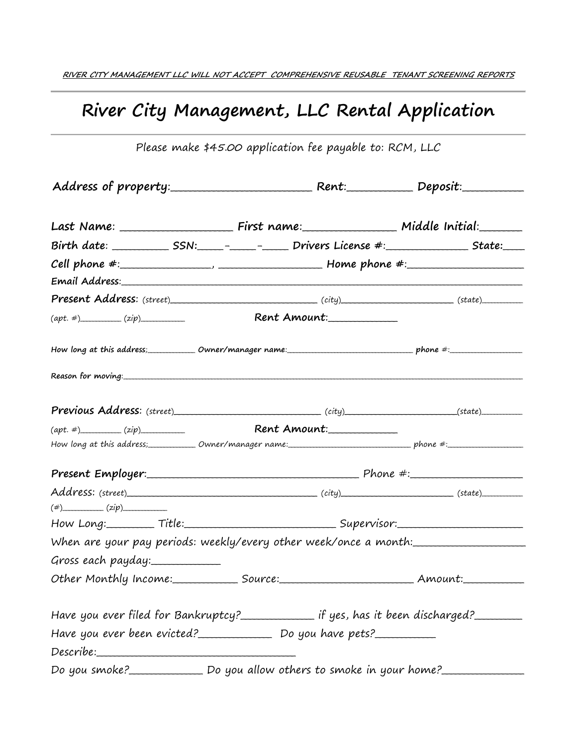## **River City Management, LLC Rental Application**

|                     | Present Address: (street)____________________________(city)_____________________(state)_____________                                                                                                                             |  |  |  |  |
|---------------------|----------------------------------------------------------------------------------------------------------------------------------------------------------------------------------------------------------------------------------|--|--|--|--|
|                     | $(\alpha pt. \#)$ $(zip)$ Rent Amount:                                                                                                                                                                                           |  |  |  |  |
|                     | How long at this address;_____________Owner/manager name:__________________________________phone #:_________________                                                                                                             |  |  |  |  |
|                     |                                                                                                                                                                                                                                  |  |  |  |  |
|                     | Previous Address: (street)<br>City) (state) (state) (state) (state) (state) (state) (state) (state) (state) (state) (state) (state) (state) (state) (state) (state) (state) (state) (state) (state) (state) (state) (state) (sta |  |  |  |  |
|                     | $(\alpha pt. \#)$ $(zip)$ Rent Amount:                                                                                                                                                                                           |  |  |  |  |
|                     | How long at this address;______________Owner/manager name:_________________________________phone #:______________                                                                                                                |  |  |  |  |
|                     |                                                                                                                                                                                                                                  |  |  |  |  |
|                     |                                                                                                                                                                                                                                  |  |  |  |  |
| $(\#)$ $(zip)$      |                                                                                                                                                                                                                                  |  |  |  |  |
|                     | How Long:_________ Title:______________________________Supervisor:_______________                                                                                                                                                |  |  |  |  |
|                     | When are your pay periods: weekly/every other week/once a month:________________                                                                                                                                                 |  |  |  |  |
| Gross each payday:_ |                                                                                                                                                                                                                                  |  |  |  |  |
|                     |                                                                                                                                                                                                                                  |  |  |  |  |
|                     | Have you ever filed for Bankruptcy?______________ if yes, has it been discharged?________                                                                                                                                        |  |  |  |  |
|                     | Have you ever been evicted?_____________________ Do you have pets?______________                                                                                                                                                 |  |  |  |  |
|                     |                                                                                                                                                                                                                                  |  |  |  |  |
|                     | Do you smoke?________________ Do you allow others to smoke in your home?_________                                                                                                                                                |  |  |  |  |